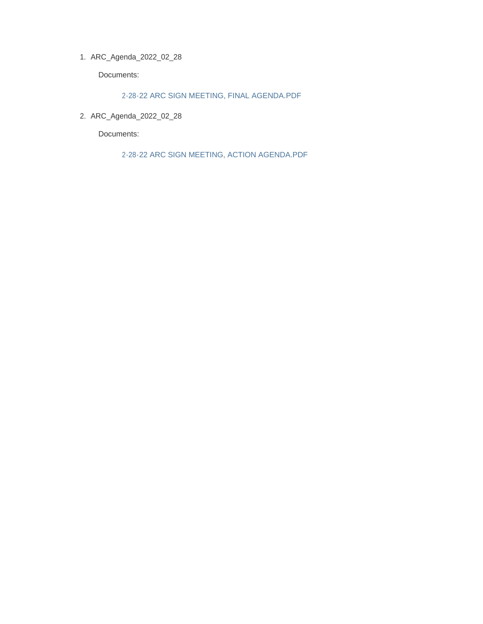ARC\_Agenda\_2022\_02\_28 1.

Documents:

2-28-22 ARC SIGN MEETING, FINAL AGENDA.PDF

ARC\_Agenda\_2022\_02\_28 2.

Documents:

2-28-22 ARC SIGN MEETING, ACTION AGENDA.PDF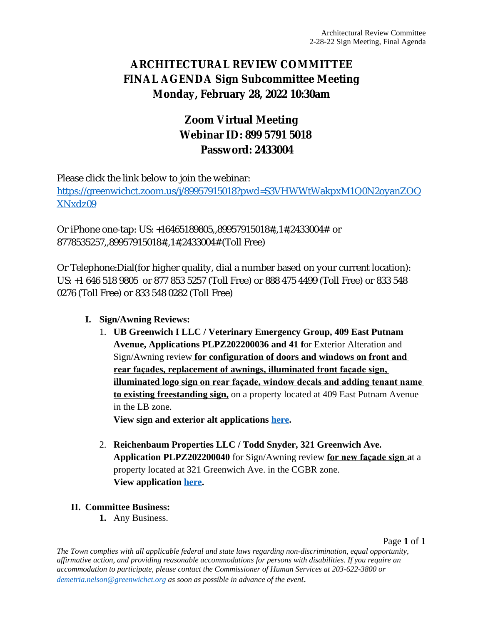# **ARCHITECTURAL REVIEW COMMITTEE FINAL AGENDA Sign Subcommittee Meeting Monday, February 28, 2022 10:30am**

# **Zoom Virtual Meeting Webinar ID: 899 5791 5018 Password: 2433004**

Please click the link below to join the webinar:

[https://greenwichct.zoom.us/j/89957915018?pwd=S3VHWWtWakpxM1Q0N2oyanZOQ](https://greenwichct.zoom.us/j/89957915018?pwd=S3VHWWtWakpxM1Q0N2oyanZOQXNxdz09) XNxdz09

Or iPhone one-tap: US: +16465189805,,89957915018#,,1#,2433004# or 8778535257,,89957915018#,,1#,2433004# (Toll Free)

Or Telephone:Dial(for higher quality, dial a number based on your current location): US: +1 646 518 9805 or 877 853 5257 (Toll Free) or 888 475 4499 (Toll Free) or 833 548 0276 (Toll Free) or 833 548 0282 (Toll Free)

### **I. Sign/Awning Reviews:**

1. **UB Greenwich I LLC / Veterinary Emergency Group, 409 East Putnam Avenue, Applications PLPZ202200036 and 41 f**or Exterior Alteration and Sign/Awning review **for configuration of doors and windows on front and rear façades, replacement of awnings, illuminated front façade sign, illuminated logo sign on rear façade, window decals and adding tenant name to existing freestanding sign,** on a property located at 409 East Putnam Avenue in the LB zone.

**View sign and exterior alt applications [here.](https://www.greenwichct.gov/DocumentCenter/View/28752/combined-409-EPA-SA-and-EA-PLPZ202200036-and-41)**

2. **Reichenbaum Properties LLC / Todd Snyder, 321 Greenwich Ave. Application PLPZ202200040** for Sign/Awning review **for new façade sign a**t a property located at 321 Greenwich Ave. in the CGBR zone. **View application [here.](https://www.greenwichct.gov/DocumentCenter/View/28751/321-greenwich-ave-PLPZ202200040-SA)**

### **II. Committee Business:**

**1.** Any Business.

Page **1** of **1**

*The Town complies with all applicable federal and state laws regarding non-discrimination, equal opportunity, affirmative action, and providing reasonable accommodations for persons with disabilities. If you require an accommodation to participate, please contact the Commissioner of Human Services at 203-622-3800 or [demetria.nelson@greenwichct.org](mailto:demetria.nelson@greenwichct.org) as soon as possible in advance of the event.*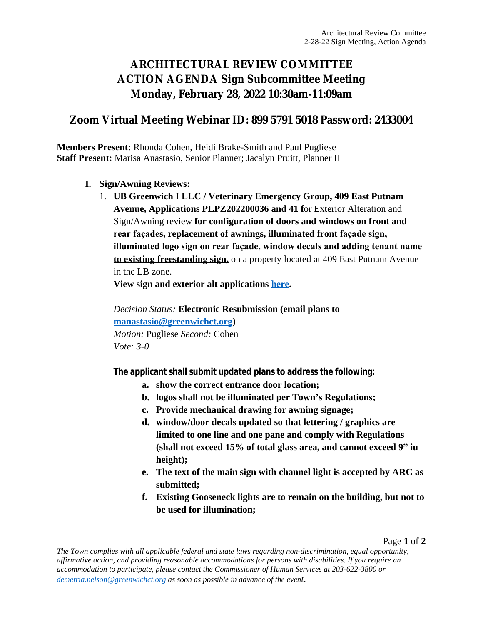## **ARCHITECTURAL REVIEW COMMITTEE ACTION AGENDA Sign Subcommittee Meeting Monday, February 28, 2022 10:30am-11:09am**

### **Zoom Virtual Meeting Webinar ID: 899 5791 5018 Password: 2433004**

**Members Present:** Rhonda Cohen, Heidi Brake-Smith and Paul Pugliese **Staff Present:** Marisa Anastasio, Senior Planner; Jacalyn Pruitt, Planner II

- **I. Sign/Awning Reviews:**
	- 1. **UB Greenwich I LLC / Veterinary Emergency Group, 409 East Putnam Avenue, Applications PLPZ202200036 and 41 f**or Exterior Alteration and Sign/Awning review **for configuration of doors and windows on front and rear façades, replacement of awnings, illuminated front façade sign, illuminated logo sign on rear façade, window decals and adding tenant name to existing freestanding sign,** on a property located at 409 East Putnam Avenue in the LB zone.

**View sign and exterior alt applications [here.](https://www.greenwichct.gov/DocumentCenter/View/28752/combined-409-EPA-SA-and-EA-PLPZ202200036-and-41)**

*Decision Status:* **Electronic Resubmission (email plans to [manastasio@greenwichct.org\)](mailto:manastasio@greenwichct.org)** *Motion:* Pugliese *Second:* Cohen *Vote: 3-0*

**The applicant shall submit updated plans to address the following:**

- **a. show the correct entrance door location;**
- **b. logos shall not be illuminated per Town's Regulations;**
- **c. Provide mechanical drawing for awning signage;**
- **d. window/door decals updated so that lettering / graphics are limited to one line and one pane and comply with Regulations (shall not exceed 15% of total glass area, and cannot exceed 9" iu height);**
- **e. The text of the main sign with channel light is accepted by ARC as submitted;**
- **f. Existing Gooseneck lights are to remain on the building, but not to be used for illumination;**

Page **1** of **2**

*The Town complies with all applicable federal and state laws regarding non-discrimination, equal opportunity, affirmative action, and providing reasonable accommodations for persons with disabilities. If you require an accommodation to participate, please contact the Commissioner of Human Services at 203-622-3800 or [demetria.nelson@greenwichct.org](mailto:demetria.nelson@greenwichct.org) as soon as possible in advance of the event.*